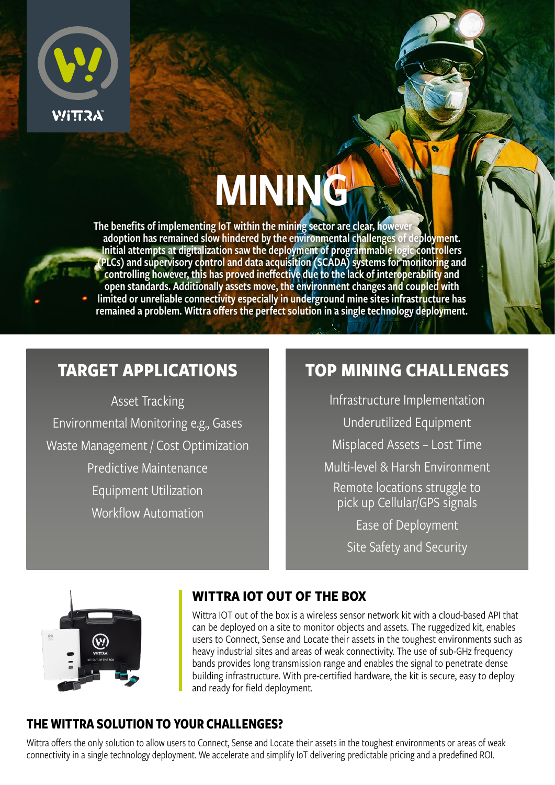

# MINING

The benefits of implementing IoT within the mining sector are clear, however adoption has remained slow hindered by the environmental challenges of deployment. Initial attempts at digitalization saw the deployment of programmable logic controllers (PLCs) and supervisory control and data acquisition (SCADA) systems for monitoring and controlling however, this has proved ineffective due to the lack of interoperability and open standards. Additionally assets move, the environment changes and coupled with limited or unreliable connectivity especially in underground mine sites infrastructure has remained a problem. Wittra offers the perfect solution in a single technology deployment.

# **TARGET APPLICATIONS**

Asset Tracking Environmental Monitoring e.g., Gases Waste Management / Cost Optimization Predictive Maintenance Equipment Utilization Workflow Automation

# **TOP MINING CHALLENGES**

Infrastructure Implementation Underutilized Equipment Misplaced Assets – Lost Time Multi-level & Harsh Environment Remote locations struggle to pick up Cellular/GPS signals Ease of Deployment Site Safety and Security



## **WITTRA IOT OUT OF THE BOX**

Wittra IOT out of the box is a wireless sensor network kit with a cloud-based API that can be deployed on a site to monitor objects and assets. The ruggedized kit, enables users to Connect, Sense and Locate their assets in the toughest environments such as heavy industrial sites and areas of weak connectivity. The use of sub-GHz frequency bands provides long transmission range and enables the signal to penetrate dense building infrastructure. With pre-certified hardware, the kit is secure, easy to deploy and ready for field deployment.

## **THE WITTRA SOLUTION TO YOUR CHALLENGES?**

Wittra offers the only solution to allow users to Connect, Sense and Locate their assets in the toughest environments or areas of weak connectivity in a single technology deployment. We accelerate and simplify IoT delivering predictable pricing and a predefined ROI.